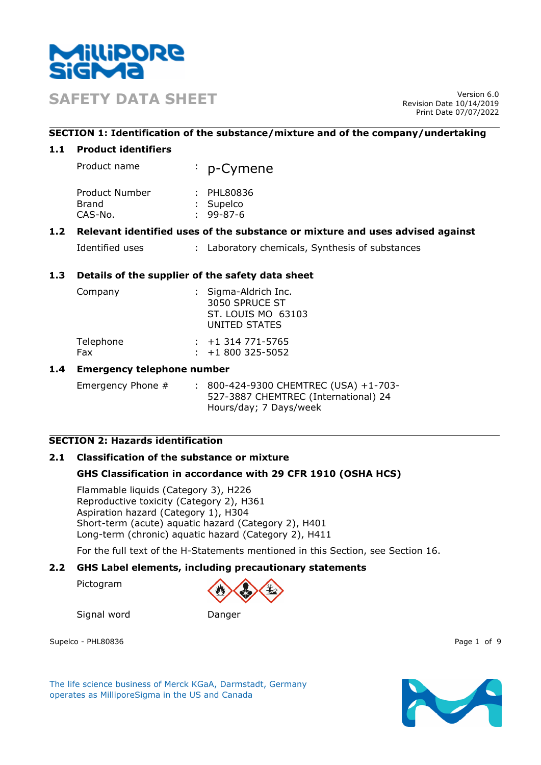

**SAFETY DATA SHEET** Version 6.0

Revision Date 10/14/2019 Print Date 07/07/2022

## **SECTION 1: Identification of the substance/mixture and of the company/undertaking**

## **1.1 Product identifiers**

| Product name                                      | : p-Cymene |
|---------------------------------------------------|------------|
| Davis should be a below to be a strike the second | PIII       |

| Product Number | : PHL80836      |
|----------------|-----------------|
| Brand          | : Supelco       |
| CAS-No.        | $: 99 - 87 - 6$ |

## **1.2 Relevant identified uses of the substance or mixture and uses advised against**

| Identified uses |  | Laboratory chemicals, Synthesis of substances |  |
|-----------------|--|-----------------------------------------------|--|
|-----------------|--|-----------------------------------------------|--|

## **1.3 Details of the supplier of the safety data sheet**

| Company   |                        | : Sigma-Aldrich Inc.<br>3050 SPRUCE ST<br><b>ST. LOUIS MO 63103</b><br>UNITED STATES |  |
|-----------|------------------------|--------------------------------------------------------------------------------------|--|
| Telephone | $: +1314771 - 5765$    |                                                                                      |  |
| Fax       | $\div$ +1 800 325-5052 |                                                                                      |  |

## **1.4 Emergency telephone number**

Emergency Phone # : 800-424-9300 CHEMTREC (USA) +1-703-527-3887 CHEMTREC (International) 24 Hours/day; 7 Days/week

# **SECTION 2: Hazards identification**

## **2.1 Classification of the substance or mixture**

## **GHS Classification in accordance with 29 CFR 1910 (OSHA HCS)**

Flammable liquids (Category 3), H226 Reproductive toxicity (Category 2), H361 Aspiration hazard (Category 1), H304 Short-term (acute) aquatic hazard (Category 2), H401 Long-term (chronic) aquatic hazard (Category 2), H411

For the full text of the H-Statements mentioned in this Section, see Section 16.

## **2.2 GHS Label elements, including precautionary statements**

Pictogram



Signal word Danger

Supelco - PHL80836 Page 1 of 9

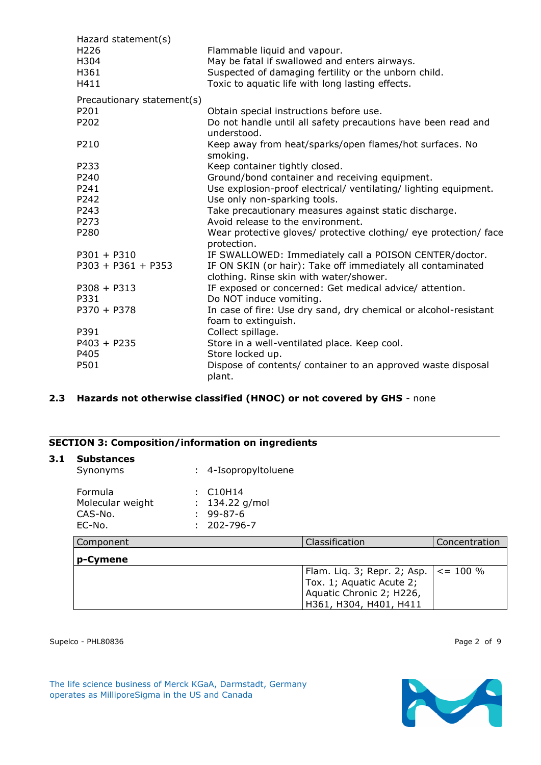| Hazard statement(s)        |                                                                                  |
|----------------------------|----------------------------------------------------------------------------------|
| H226                       | Flammable liquid and vapour.                                                     |
| H304                       | May be fatal if swallowed and enters airways.                                    |
| H361                       | Suspected of damaging fertility or the unborn child.                             |
| H411                       | Toxic to aquatic life with long lasting effects.                                 |
| Precautionary statement(s) |                                                                                  |
| P201                       | Obtain special instructions before use.                                          |
| P202                       | Do not handle until all safety precautions have been read and<br>understood.     |
| P210                       | Keep away from heat/sparks/open flames/hot surfaces. No<br>smoking.              |
| P233                       | Keep container tightly closed.                                                   |
| P240                       | Ground/bond container and receiving equipment.                                   |
| P241                       | Use explosion-proof electrical/ ventilating/ lighting equipment.                 |
| P242                       | Use only non-sparking tools.                                                     |
| P243                       | Take precautionary measures against static discharge.                            |
| P273                       | Avoid release to the environment.                                                |
| P280                       | Wear protective gloves/ protective clothing/ eye protection/ face<br>protection. |
| $P301 + P310$              | IF SWALLOWED: Immediately call a POISON CENTER/doctor.                           |
| $P303 + P361 + P353$       | IF ON SKIN (or hair): Take off immediately all contaminated                      |
|                            | clothing. Rinse skin with water/shower.                                          |
| $P308 + P313$              | IF exposed or concerned: Get medical advice/ attention.                          |
| P331                       | Do NOT induce vomiting.                                                          |
| $P370 + P378$              | In case of fire: Use dry sand, dry chemical or alcohol-resistant                 |
|                            | foam to extinguish.                                                              |
| P391                       | Collect spillage.                                                                |
| $P403 + P235$              | Store in a well-ventilated place. Keep cool.                                     |
| P405                       | Store locked up.                                                                 |
| P501                       | Dispose of contents/ container to an approved waste disposal<br>plant.           |

## **2.3 Hazards not otherwise classified (HNOC) or not covered by GHS** - none

## **SECTION 3: Composition/information on ingredients**

## **3.1 Substances**

| Synonyms         | : 4-Isopropyltoluene |
|------------------|----------------------|
| Formula          | $\therefore$ C10H14  |
| Molecular weight | : $134.22$ g/mol     |
| CAS-No.          | $: 99 - 87 - 6$      |
| EC-No.           | $: 202 - 796 - 7$    |

| Component | Classification                              | Concentration |
|-----------|---------------------------------------------|---------------|
| p-Cymene  |                                             |               |
|           | Flam. Liq. 3; Repr. 2; Asp. $  \le$ = 100 % |               |
|           | Tox. 1; Aquatic Acute 2;                    |               |
|           | Aquatic Chronic 2; H226,                    |               |
|           | 'H361, H304, H401, H411                     |               |

Supelco - PHL80836 Page 2 of 9

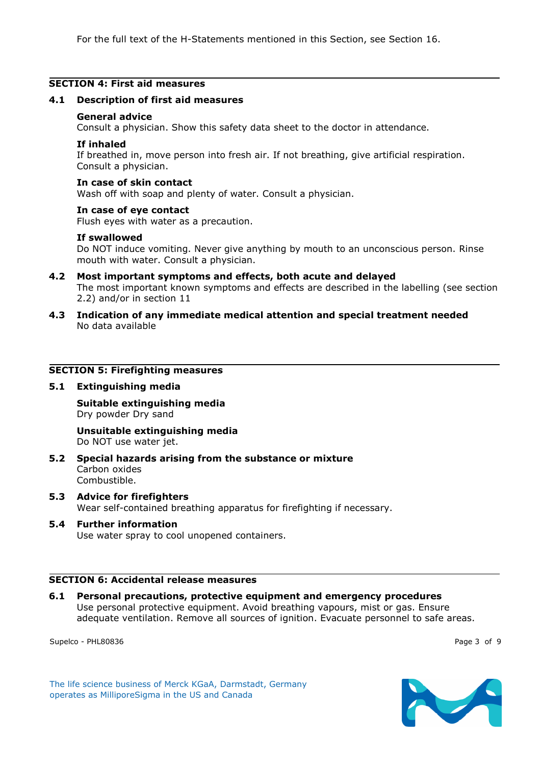## **SECTION 4: First aid measures**

#### **4.1 Description of first aid measures**

#### **General advice**

Consult a physician. Show this safety data sheet to the doctor in attendance.

### **If inhaled**

If breathed in, move person into fresh air. If not breathing, give artificial respiration. Consult a physician.

### **In case of skin contact**

Wash off with soap and plenty of water. Consult a physician.

#### **In case of eye contact**

Flush eyes with water as a precaution.

### **If swallowed**

Do NOT induce vomiting. Never give anything by mouth to an unconscious person. Rinse mouth with water. Consult a physician.

- **4.2 Most important symptoms and effects, both acute and delayed** The most important known symptoms and effects are described in the labelling (see section 2.2) and/or in section 11
- **4.3 Indication of any immediate medical attention and special treatment needed** No data available

### **SECTION 5: Firefighting measures**

#### **5.1 Extinguishing media**

**Suitable extinguishing media** Dry powder Dry sand

#### **Unsuitable extinguishing media** Do NOT use water jet.

- **5.2 Special hazards arising from the substance or mixture** Carbon oxides Combustible.
- **5.3 Advice for firefighters** Wear self-contained breathing apparatus for firefighting if necessary.
- **5.4 Further information** Use water spray to cool unopened containers.

#### **SECTION 6: Accidental release measures**

**6.1 Personal precautions, protective equipment and emergency procedures** Use personal protective equipment. Avoid breathing vapours, mist or gas. Ensure adequate ventilation. Remove all sources of ignition. Evacuate personnel to safe areas.

Supelco - PHL80836 Page 3 of 9

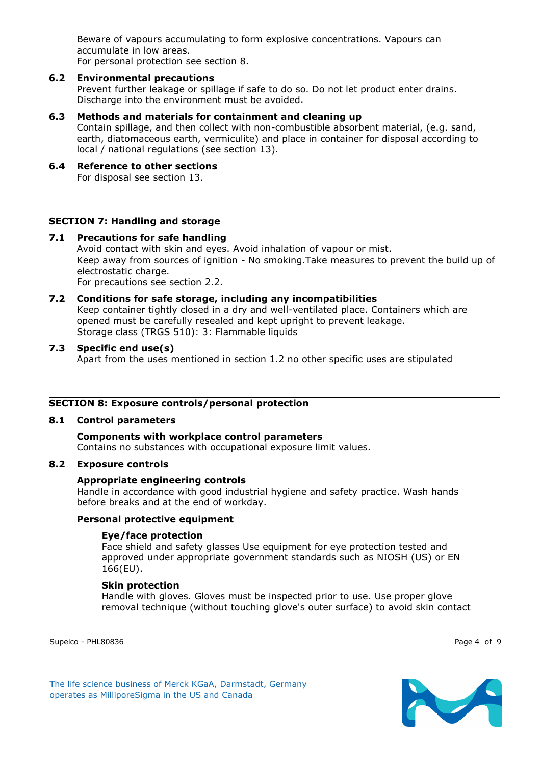Beware of vapours accumulating to form explosive concentrations. Vapours can accumulate in low areas. For personal protection see section 8.

## **6.2 Environmental precautions**

Prevent further leakage or spillage if safe to do so. Do not let product enter drains. Discharge into the environment must be avoided.

## **6.3 Methods and materials for containment and cleaning up**

Contain spillage, and then collect with non-combustible absorbent material, (e.g. sand, earth, diatomaceous earth, vermiculite) and place in container for disposal according to local / national regulations (see section 13).

**6.4 Reference to other sections** For disposal see section 13.

## **SECTION 7: Handling and storage**

### **7.1 Precautions for safe handling** Avoid contact with skin and eyes. Avoid inhalation of vapour or mist. Keep away from sources of ignition - No smoking.Take measures to prevent the build up of electrostatic charge. For precautions see section 2.2.

## **7.2 Conditions for safe storage, including any incompatibilities** Keep container tightly closed in a dry and well-ventilated place. Containers which are opened must be carefully resealed and kept upright to prevent leakage. Storage class (TRGS 510): 3: Flammable liquids

**7.3 Specific end use(s)** Apart from the uses mentioned in section 1.2 no other specific uses are stipulated

## **SECTION 8: Exposure controls/personal protection**

## **8.1 Control parameters**

**Components with workplace control parameters** Contains no substances with occupational exposure limit values.

## **8.2 Exposure controls**

## **Appropriate engineering controls**

Handle in accordance with good industrial hygiene and safety practice. Wash hands before breaks and at the end of workday.

## **Personal protective equipment**

## **Eye/face protection**

Face shield and safety glasses Use equipment for eye protection tested and approved under appropriate government standards such as NIOSH (US) or EN 166(EU).

## **Skin protection**

Handle with gloves. Gloves must be inspected prior to use. Use proper glove removal technique (without touching glove's outer surface) to avoid skin contact

Supelco - PHL80836 Page 4 of 9

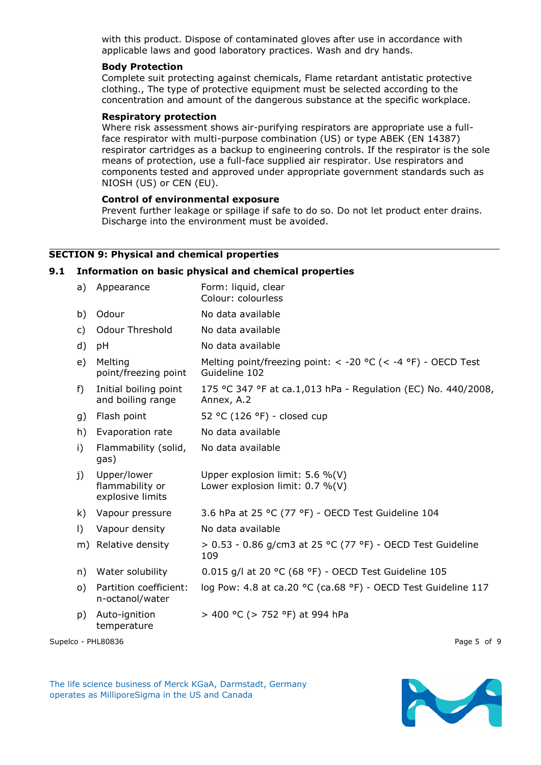with this product. Dispose of contaminated gloves after use in accordance with applicable laws and good laboratory practices. Wash and dry hands.

### **Body Protection**

Complete suit protecting against chemicals, Flame retardant antistatic protective clothing., The type of protective equipment must be selected according to the concentration and amount of the dangerous substance at the specific workplace.

### **Respiratory protection**

Where risk assessment shows air-purifying respirators are appropriate use a fullface respirator with multi-purpose combination (US) or type ABEK (EN 14387) respirator cartridges as a backup to engineering controls. If the respirator is the sole means of protection, use a full-face supplied air respirator. Use respirators and components tested and approved under appropriate government standards such as NIOSH (US) or CEN (EU).

### **Control of environmental exposure**

Prevent further leakage or spillage if safe to do so. Do not let product enter drains. Discharge into the environment must be avoided.

## **SECTION 9: Physical and chemical properties**

#### **9.1 Information on basic physical and chemical properties**

| a)       | Appearance                                         | Form: liquid, clear<br>Colour: colourless                                          |
|----------|----------------------------------------------------|------------------------------------------------------------------------------------|
| b)       | Odour                                              | No data available                                                                  |
| c)       | <b>Odour Threshold</b>                             | No data available                                                                  |
| d)       | рH                                                 | No data available                                                                  |
| e)       | Melting<br>point/freezing point                    | Melting point/freezing point: $<$ -20 °C ( $<$ -4 °F) - OECD Test<br>Guideline 102 |
| f)       | Initial boiling point<br>and boiling range         | 175 °C 347 °F at ca.1,013 hPa - Regulation (EC) No. 440/2008,<br>Annex, A.2        |
| g)       | Flash point                                        | 52 °C (126 °F) - closed cup                                                        |
| h)       | Evaporation rate                                   | No data available                                                                  |
| i)       | Flammability (solid,<br>gas)                       | No data available                                                                  |
| j)       | Upper/lower<br>flammability or<br>explosive limits | Upper explosion limit: 5.6 %(V)<br>Lower explosion limit: $0.7 \%$ (V)             |
| k)       | Vapour pressure                                    | 3.6 hPa at 25 °C (77 °F) - OECD Test Guideline 104                                 |
| $\vert$  | Vapour density                                     | No data available                                                                  |
| m)       | Relative density                                   | > 0.53 - 0.86 g/cm3 at 25 °C (77 °F) - OECD Test Guideline<br>109                  |
| n)       | Water solubility                                   | 0.015 g/l at 20 °C (68 °F) - OECD Test Guideline 105                               |
| $\circ)$ | Partition coefficient:<br>n-octanol/water          | log Pow: 4.8 at ca.20 °C (ca.68 °F) - OECD Test Guideline 117                      |
| p)       | Auto-ignition<br>temperature                       | > 400 °C (> 752 °F) at 994 hPa                                                     |
|          |                                                    |                                                                                    |

Supelco - PHL80836 Page 5 of 9

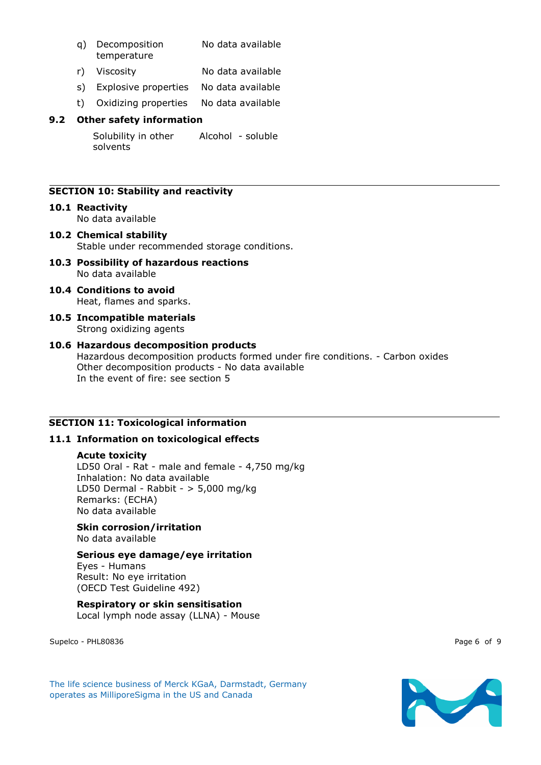- q) Decomposition temperature No data available
- r) Viscosity No data available
- s) Explosive properties No data available
- t) Oxidizing properties No data available

Solubility in other solvents Alcohol - soluble

## **SECTION 10: Stability and reactivity**

### **10.1 Reactivity** No data available

- **10.2 Chemical stability** Stable under recommended storage conditions.
- **10.3 Possibility of hazardous reactions** No data available
- **10.4 Conditions to avoid** Heat, flames and sparks.
- **10.5 Incompatible materials** Strong oxidizing agents

### **10.6 Hazardous decomposition products** Hazardous decomposition products formed under fire conditions. - Carbon oxides Other decomposition products - No data available In the event of fire: see section 5

## **SECTION 11: Toxicological information**

## **11.1 Information on toxicological effects**

## **Acute toxicity**

LD50 Oral - Rat - male and female - 4,750 mg/kg Inhalation: No data available LD50 Dermal - Rabbit - > 5,000 mg/kg Remarks: (ECHA) No data available

### **Skin corrosion/irritation** No data available

## **Serious eye damage/eye irritation**

Eyes - Humans Result: No eye irritation (OECD Test Guideline 492)

## **Respiratory or skin sensitisation** Local lymph node assay (LLNA) - Mouse

Supelco - PHL80836 Page 6 of 9



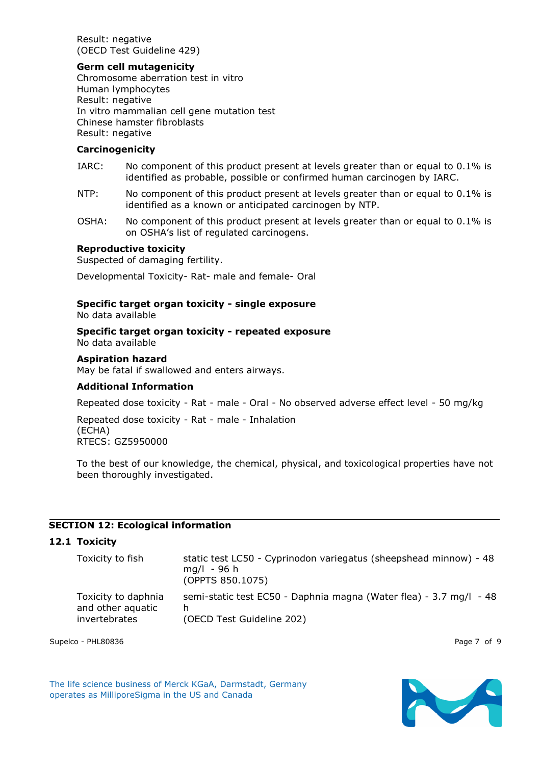Result: negative (OECD Test Guideline 429)

### **Germ cell mutagenicity**

Chromosome aberration test in vitro Human lymphocytes Result: negative In vitro mammalian cell gene mutation test Chinese hamster fibroblasts Result: negative

### **Carcinogenicity**

- IARC: No component of this product present at levels greater than or equal to 0.1% is identified as probable, possible or confirmed human carcinogen by IARC.
- NTP: No component of this product present at levels greater than or equal to 0.1% is identified as a known or anticipated carcinogen by NTP.
- OSHA: No component of this product present at levels greater than or equal to 0.1% is on OSHA's list of regulated carcinogens.

### **Reproductive toxicity**

Suspected of damaging fertility.

Developmental Toxicity- Rat- male and female- Oral

#### **Specific target organ toxicity - single exposure** No data available

#### **Specific target organ toxicity - repeated exposure** No data available

### **Aspiration hazard**

May be fatal if swallowed and enters airways.

### **Additional Information**

Repeated dose toxicity - Rat - male - Oral - No observed adverse effect level - 50 mg/kg

Repeated dose toxicity - Rat - male - Inhalation (ECHA) RTECS: GZ5950000

To the best of our knowledge, the chemical, physical, and toxicological properties have not been thoroughly investigated.

## **SECTION 12: Ecological information**

## **12.1 Toxicity**

| Toxicity to fish                                          | static test LC50 - Cyprinodon variegatus (sheepshead minnow) - 48<br>$mq/l - 96 h$<br>(OPPTS 850.1075) |
|-----------------------------------------------------------|--------------------------------------------------------------------------------------------------------|
| Toxicity to daphnia<br>and other aquatic<br>invertebrates | semi-static test EC50 - Daphnia magna (Water flea) - 3.7 mg/l - 48<br>(OECD Test Guideline 202)        |

Supelco - PHL80836 Page 7 of 9

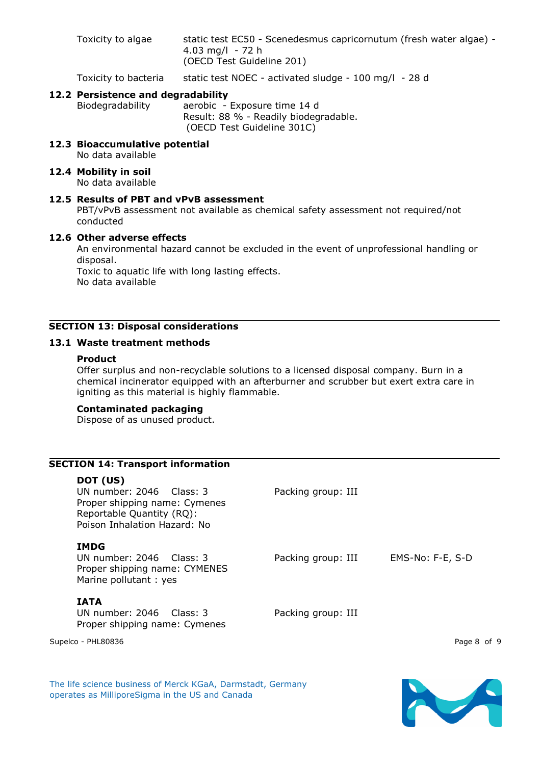Toxicity to algae static test EC50 - Scenedesmus capricornutum (fresh water algae) -4.03 mg/l - 72 h (OECD Test Guideline 201)

Toxicity to bacteria static test NOEC - activated sludge - 100 mg/l - 28 d

## **12.2 Persistence and degradability**

Biodegradability aerobic - Exposure time 14 d Result: 88 % - Readily biodegradable. (OECD Test Guideline 301C)

- **12.3 Bioaccumulative potential** No data available
- **12.4 Mobility in soil** No data available

### **12.5 Results of PBT and vPvB assessment**

PBT/vPvB assessment not available as chemical safety assessment not required/not conducted

#### **12.6 Other adverse effects**

An environmental hazard cannot be excluded in the event of unprofessional handling or disposal.

Toxic to aquatic life with long lasting effects. No data available

## **SECTION 13: Disposal considerations**

## **13.1 Waste treatment methods**

#### **Product**

Offer surplus and non-recyclable solutions to a licensed disposal company. Burn in a chemical incinerator equipped with an afterburner and scrubber but exert extra care in igniting as this material is highly flammable.

### **Contaminated packaging**

Dispose of as unused product.

### **SECTION 14: Transport information**

#### **DOT (US)**

UN number: 2046 Class: 3 Packing group: III Proper shipping name: Cymenes Reportable Quantity (RQ): Poison Inhalation Hazard: No

### **IMDG**

UN number: 2046 Class: 3 Packing group: III EMS-No: F-E, S-D Proper shipping name: CYMENES Marine pollutant : yes

## **IATA**

UN number: 2046 Class: 3 Packing group: III Proper shipping name: Cymenes

Supelco - PHL80836 Page 8 of 9